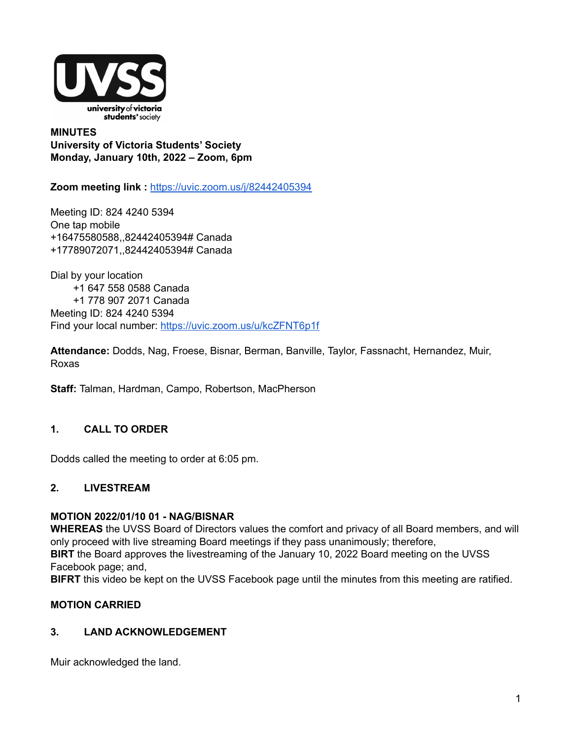

**MINUTES University of Victoria Students' Society Monday, January 10th, 2022 – Zoom, 6pm**

**Zoom meeting link :** <https://uvic.zoom.us/j/82442405394>

Meeting ID: 824 4240 5394 One tap mobile +16475580588,,82442405394# Canada +17789072071,,82442405394# Canada

Dial by your location +1 647 558 0588 Canada +1 778 907 2071 Canada Meeting ID: 824 4240 5394 Find your local number: <https://uvic.zoom.us/u/kcZFNT6p1f>

**Attendance:** Dodds, Nag, Froese, Bisnar, Berman, Banville, Taylor, Fassnacht, Hernandez, Muir, Roxas

**Staff:** Talman, Hardman, Campo, Robertson, MacPherson

### **1. CALL TO ORDER**

Dodds called the meeting to order at 6:05 pm.

#### **2. LIVESTREAM**

#### **MOTION 2022/01/10 01 - NAG/BISNAR**

**WHEREAS** the UVSS Board of Directors values the comfort and privacy of all Board members, and will only proceed with live streaming Board meetings if they pass unanimously; therefore,

**BIRT** the Board approves the livestreaming of the January 10, 2022 Board meeting on the UVSS Facebook page; and,

**BIFRT** this video be kept on the UVSS Facebook page until the minutes from this meeting are ratified.

#### **MOTION CARRIED**

### **3. LAND ACKNOWLEDGEMENT**

Muir acknowledged the land.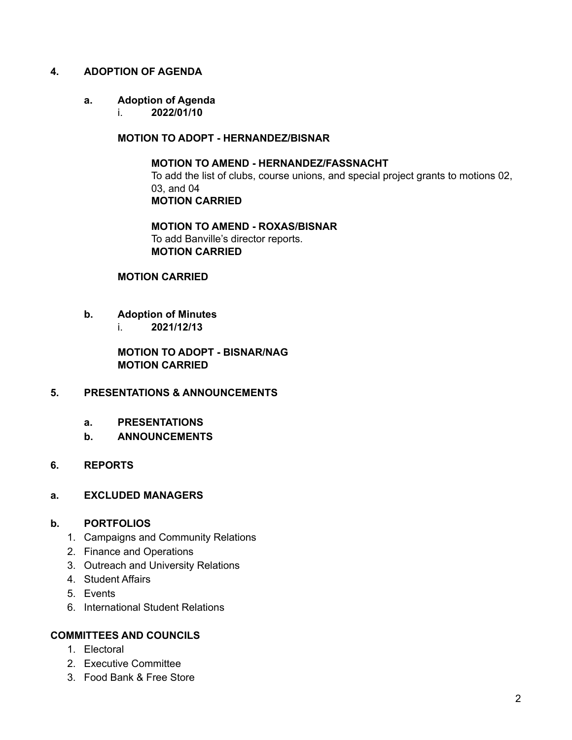#### **4. ADOPTION OF AGENDA**

#### **a. Adoption of Agenda**

i. **2022/01/10**

#### **MOTION TO ADOPT - HERNANDEZ/BISNAR**

**MOTION TO AMEND - HERNANDEZ/FASSNACHT** To add the list of clubs, course unions, and special project grants to motions 02, 03, and 04 **MOTION CARRIED**

**MOTION TO AMEND - ROXAS/BISNAR** To add Banville's director reports. **MOTION CARRIED**

#### **MOTION CARRIED**

- **b. Adoption of Minutes**
	- i. **2021/12/13**

**MOTION TO ADOPT - BISNAR/NAG MOTION CARRIED**

### **5. PRESENTATIONS & ANNOUNCEMENTS**

- **a. PRESENTATIONS**
- **b. ANNOUNCEMENTS**
- **6. REPORTS**

#### **a. EXCLUDED MANAGERS**

#### **b. PORTFOLIOS**

- 1. Campaigns and Community Relations
- 2. Finance and Operations
- 3. Outreach and University Relations
- 4. Student Affairs
- 5. Events
- 6. International Student Relations

#### **COMMITTEES AND COUNCILS**

- 1. Electoral
- 2. Executive Committee
- 3. Food Bank & Free Store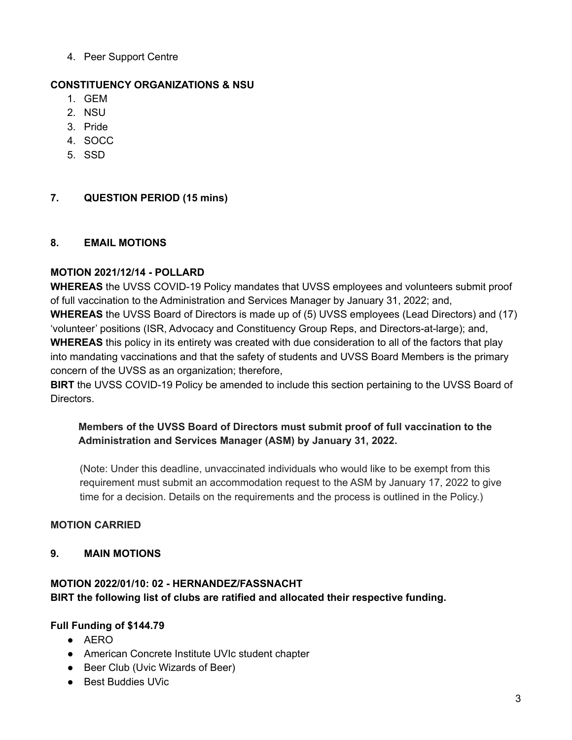4. Peer Support Centre

### **CONSTITUENCY ORGANIZATIONS & NSU**

- 1. GEM
- 2. NSU
- 3. Pride
- 4. SOCC
- 5. SSD

### **7. QUESTION PERIOD (15 mins)**

### **8. EMAIL MOTIONS**

### **MOTION 2021/12/14 - POLLARD**

**WHEREAS** the UVSS COVID-19 Policy mandates that UVSS employees and volunteers submit proof of full vaccination to the Administration and Services Manager by January 31, 2022; and, **WHEREAS** the UVSS Board of Directors is made up of (5) UVSS employees (Lead Directors) and (17) 'volunteer' positions (ISR, Advocacy and Constituency Group Reps, and Directors-at-large); and, **WHEREAS** this policy in its entirety was created with due consideration to all of the factors that play into mandating vaccinations and that the safety of students and UVSS Board Members is the primary concern of the UVSS as an organization; therefore,

**BIRT** the UVSS COVID-19 Policy be amended to include this section pertaining to the UVSS Board of Directors.

### **Members of the UVSS Board of Directors must submit proof of full vaccination to the Administration and Services Manager (ASM) by January 31, 2022.**

(Note: Under this deadline, unvaccinated individuals who would like to be exempt from this requirement must submit an accommodation request to the ASM by January 17, 2022 to give time for a decision. Details on the requirements and the process is outlined in the Policy.)

### **MOTION CARRIED**

### **9. MAIN MOTIONS**

### **MOTION 2022/01/10: 02 - HERNANDEZ/FASSNACHT BIRT the following list of clubs are ratified and allocated their respective funding.**

### **Full Funding of \$144.79**

- AERO
- American Concrete Institute UVIc student chapter
- Beer Club (Uvic Wizards of Beer)
- Best Buddies UVic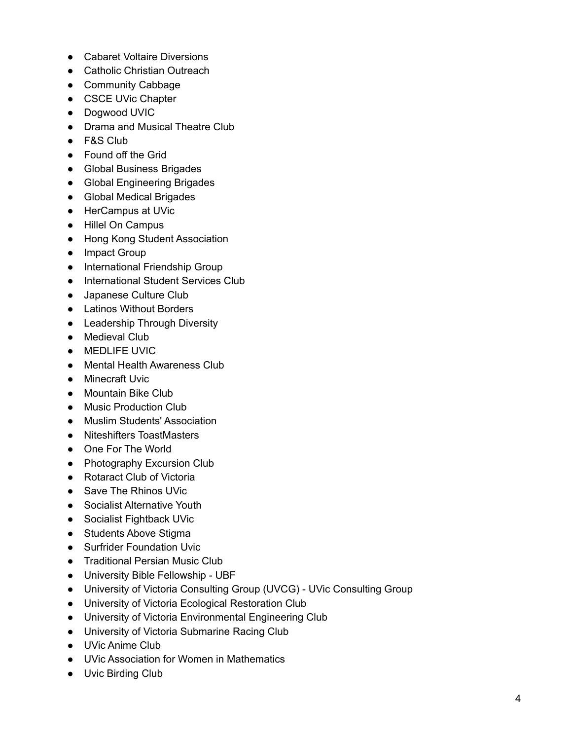- Cabaret Voltaire Diversions
- Catholic Christian Outreach
- Community Cabbage
- CSCE UVic Chapter
- Dogwood UVIC
- Drama and Musical Theatre Club
- F&S Club
- Found off the Grid
- Global Business Brigades
- Global Engineering Brigades
- Global Medical Brigades
- HerCampus at UVic
- Hillel On Campus
- Hong Kong Student Association
- Impact Group
- International Friendship Group
- International Student Services Club
- Japanese Culture Club
- Latinos Without Borders
- Leadership Through Diversity
- Medieval Club
- MEDLIFE UVIC
- Mental Health Awareness Club
- Minecraft Uvic
- Mountain Bike Club
- Music Production Club
- Muslim Students' Association
- Niteshifters ToastMasters
- One For The World
- Photography Excursion Club
- Rotaract Club of Victoria
- Save The Rhinos UVic
- Socialist Alternative Youth
- Socialist Fightback UVic
- Students Above Stigma
- Surfrider Foundation Uvic
- Traditional Persian Music Club
- University Bible Fellowship UBF
- University of Victoria Consulting Group (UVCG) UVic Consulting Group
- University of Victoria Ecological Restoration Club
- University of Victoria Environmental Engineering Club
- University of Victoria Submarine Racing Club
- UVic Anime Club
- UVic Association for Women in Mathematics
- Uvic Birding Club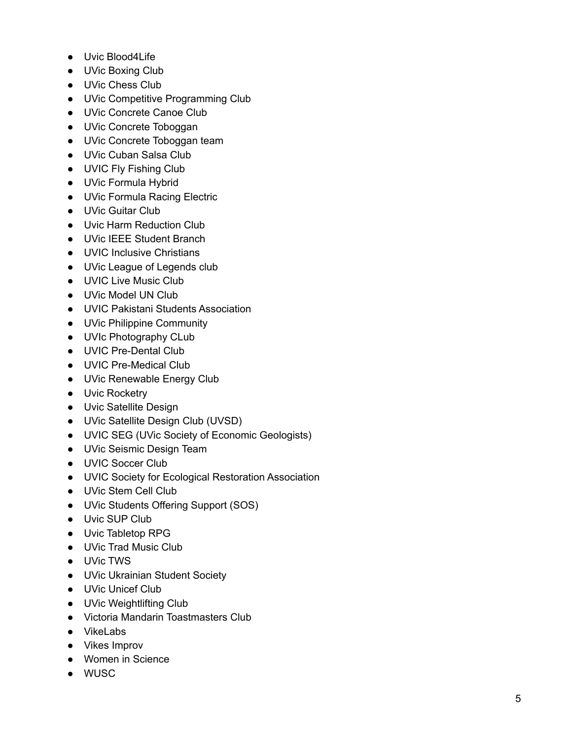- Uvic Blood4Life
- UVic Boxing Club
- UVic Chess Club
- UVic Competitive Programming Club
- UVic Concrete Canoe Club
- UVic Concrete Toboggan
- UVic Concrete Toboggan team
- UVic Cuban Salsa Club
- UVIC Fly Fishing Club
- UVic Formula Hybrid
- UVic Formula Racing Electric
- UVic Guitar Club
- Uvic Harm Reduction Club
- UVic IEEE Student Branch
- UVIC Inclusive Christians
- UVic League of Legends club
- UVIC Live Music Club
- UVic Model UN Club
- UVIC Pakistani Students Association
- UVic Philippine Community
- UVIc Photography CLub
- UVIC Pre-Dental Club
- UVIC Pre-Medical Club
- UVic Renewable Energy Club
- Uvic Rocketry
- Uvic Satellite Design
- UVic Satellite Design Club (UVSD)
- UVIC SEG (UVic Society of Economic Geologists)
- UVic Seismic Design Team
- UVIC Soccer Club
- UVIC Society for Ecological Restoration Association
- UVic Stem Cell Club
- UVic Students Offering Support (SOS)
- Uvic SUP Club
- Uvic Tabletop RPG
- UVic Trad Music Club
- UVic TWS
- UVic Ukrainian Student Society
- UVic Unicef Club
- UVic Weightlifting Club
- Victoria Mandarin Toastmasters Club
- VikeLabs
- Vikes Improv
- Women in Science
- WUSC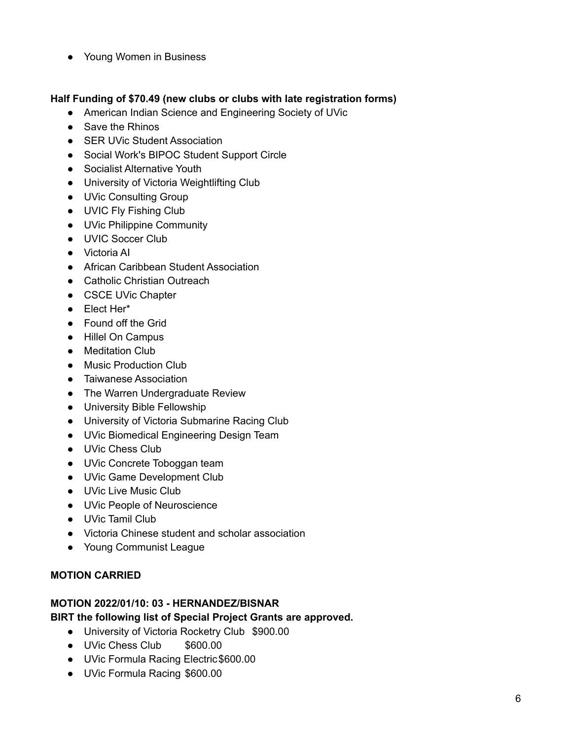● Young Women in Business

#### **Half Funding of \$70.49 (new clubs or clubs with late registration forms)**

- American Indian Science and Engineering Society of UVic
- Save the Rhinos
- SER UVic Student Association
- Social Work's BIPOC Student Support Circle
- Socialist Alternative Youth
- University of Victoria Weightlifting Club
- UVic Consulting Group
- UVIC Fly Fishing Club
- UVic Philippine Community
- UVIC Soccer Club
- Victoria AI
- African Caribbean Student Association
- Catholic Christian Outreach
- CSCE UVic Chapter
- Elect Her\*
- Found off the Grid
- Hillel On Campus
- Meditation Club
- Music Production Club
- Taiwanese Association
- The Warren Undergraduate Review
- University Bible Fellowship
- University of Victoria Submarine Racing Club
- UVic Biomedical Engineering Design Team
- UVic Chess Club
- UVic Concrete Toboggan team
- UVic Game Development Club
- UVic Live Music Club
- UVic People of Neuroscience
- UVic Tamil Club
- Victoria Chinese student and scholar association
- Young Communist League

### **MOTION CARRIED**

### **MOTION 2022/01/10: 03 - HERNANDEZ/BISNAR**

### **BIRT the following list of Special Project Grants are approved.**

- University of Victoria Rocketry Club \$900.00
- UVic Chess Club \$600.00
- UVic Formula Racing Electric\$600.00
- UVic Formula Racing \$600.00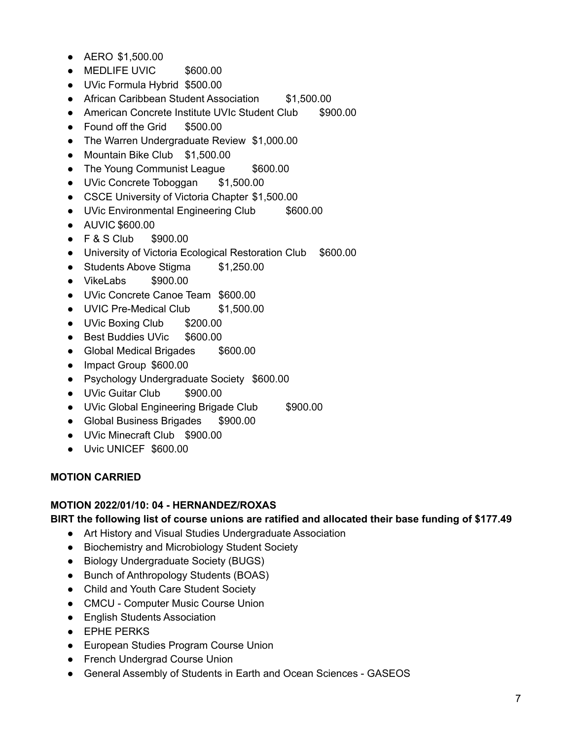- AERO \$1,500.00
- MEDLIFE UVIC \$600.00
- UVic Formula Hybrid \$500.00
- African Caribbean Student Association \$1,500.00
- American Concrete Institute UVIc Student Club \$900.00
- Found off the Grid \$500.00
- The Warren Undergraduate Review \$1,000.00
- Mountain Bike Club \$1,500.00
- The Young Communist League \$600.00
- UVic Concrete Toboggan \$1,500.00
- CSCE University of Victoria Chapter \$1,500.00
- UVic Environmental Engineering Club \$600.00
- AUVIC \$600.00
- F & S Club \$900.00
- University of Victoria Ecological Restoration Club \$600.00
- Students Above Stigma \$1,250.00
- VikeLabs \$900.00
- UVic Concrete Canoe Team \$600.00
- UVIC Pre-Medical Club \$1,500.00
- UVic Boxing Club \$200.00
- Best Buddies UVic \$600.00
- Global Medical Brigades \$600.00
- Impact Group \$600.00
- Psychology Undergraduate Society \$600.00
- UVic Guitar Club \$900.00
- UVic Global Engineering Brigade Club \$900.00
- Global Business Brigades \$900.00
- UVic Minecraft Club \$900.00
- Uvic UNICEF \$600.00

#### **MOTION CARRIED**

#### **MOTION 2022/01/10: 04 - HERNANDEZ/ROXAS**

#### **BIRT the following list of course unions are ratified and allocated their base funding of \$177.49**

- Art History and Visual Studies Undergraduate Association
- Biochemistry and Microbiology Student Society
- Biology Undergraduate Society (BUGS)
- Bunch of Anthropology Students (BOAS)
- Child and Youth Care Student Society
- CMCU Computer Music Course Union
- English Students Association
- EPHE PERKS
- European Studies Program Course Union
- French Undergrad Course Union
- General Assembly of Students in Earth and Ocean Sciences GASEOS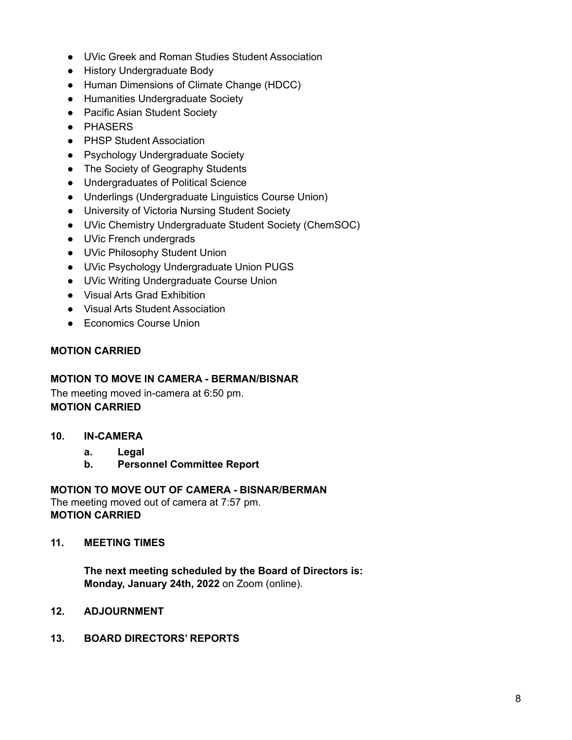- UVic Greek and Roman Studies Student Association
- History Undergraduate Body
- Human Dimensions of Climate Change (HDCC)
- Humanities Undergraduate Society
- Pacific Asian Student Society
- PHASERS
- PHSP Student Association
- Psychology Undergraduate Society
- The Society of Geography Students
- Undergraduates of Political Science
- Underlings (Undergraduate Linguistics Course Union)
- University of Victoria Nursing Student Society
- UVic Chemistry Undergraduate Student Society (ChemSOC)
- UVic French undergrads
- UVic Philosophy Student Union
- UVic Psychology Undergraduate Union PUGS
- UVic Writing Undergraduate Course Union
- Visual Arts Grad Exhibition
- Visual Arts Student Association
- Economics Course Union

### **MOTION CARRIED**

#### **MOTION TO MOVE IN CAMERA - BERMAN/BISNAR**

The meeting moved in-camera at 6:50 pm. **MOTION CARRIED**

- **10. IN-CAMERA**
	- **a. Legal**
	- **b. Personnel Committee Report**

#### **MOTION TO MOVE OUT OF CAMERA - BISNAR/BERMAN**

The meeting moved out of camera at 7:57 pm. **MOTION CARRIED**

**11. MEETING TIMES**

**The next meeting scheduled by the Board of Directors is: Monday, January 24th, 2022** on Zoom (online).

**12. ADJOURNMENT**

#### **13. BOARD DIRECTORS' REPORTS**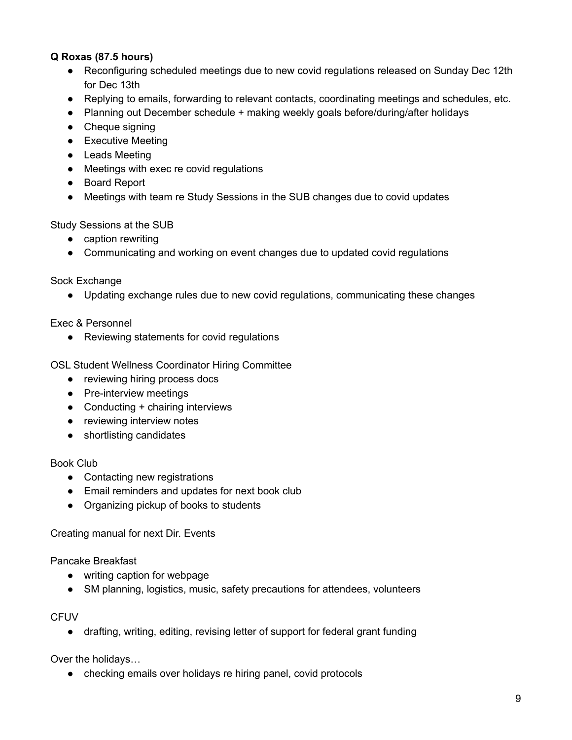### **Q Roxas (87.5 hours)**

- Reconfiguring scheduled meetings due to new covid regulations released on Sunday Dec 12th for Dec 13th
- Replying to emails, forwarding to relevant contacts, coordinating meetings and schedules, etc.
- Planning out December schedule + making weekly goals before/during/after holidays
- Cheque signing
- Executive Meeting
- Leads Meeting
- Meetings with exec re covid regulations
- Board Report
- Meetings with team re Study Sessions in the SUB changes due to covid updates

Study Sessions at the SUB

- caption rewriting
- Communicating and working on event changes due to updated covid regulations

Sock Exchange

● Updating exchange rules due to new covid regulations, communicating these changes

Exec & Personnel

● Reviewing statements for covid regulations

OSL Student Wellness Coordinator Hiring Committee

- reviewing hiring process docs
- Pre-interview meetings
- Conducting + chairing interviews
- reviewing interview notes
- shortlisting candidates

#### Book Club

- Contacting new registrations
- Email reminders and updates for next book club
- Organizing pickup of books to students

Creating manual for next Dir. Events

Pancake Breakfast

- writing caption for webpage
- SM planning, logistics, music, safety precautions for attendees, volunteers

**CFUV** 

● drafting, writing, editing, revising letter of support for federal grant funding

Over the holidays…

• checking emails over holidays re hiring panel, covid protocols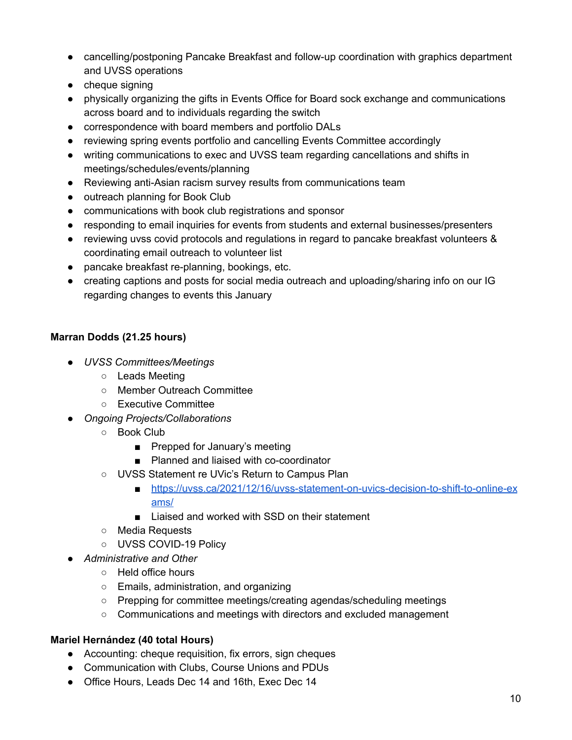- cancelling/postponing Pancake Breakfast and follow-up coordination with graphics department and UVSS operations
- cheque signing
- physically organizing the gifts in Events Office for Board sock exchange and communications across board and to individuals regarding the switch
- correspondence with board members and portfolio DALs
- reviewing spring events portfolio and cancelling Events Committee accordingly
- writing communications to exec and UVSS team regarding cancellations and shifts in meetings/schedules/events/planning
- Reviewing anti-Asian racism survey results from communications team
- outreach planning for Book Club
- communications with book club registrations and sponsor
- responding to email inquiries for events from students and external businesses/presenters
- reviewing uvss covid protocols and regulations in regard to pancake breakfast volunteers & coordinating email outreach to volunteer list
- pancake breakfast re-planning, bookings, etc.
- creating captions and posts for social media outreach and uploading/sharing info on our IG regarding changes to events this January

### **Marran Dodds (21.25 hours)**

- *UVSS Committees/Meetings*
	- Leads Meeting
	- Member Outreach Committee
	- Executive Committee
- *Ongoing Projects/Collaborations*
	- Book Club
		- Prepped for January's meeting
		- Planned and liaised with co-coordinator
	- UVSS Statement re UVic's Return to Campus Plan
		- [https://uvss.ca/2021/12/16/uvss-statement-on-uvics-decision-to-shift-to-online-ex](https://uvss.ca/2021/12/16/uvss-statement-on-uvics-decision-to-shift-to-online-exams/) [ams/](https://uvss.ca/2021/12/16/uvss-statement-on-uvics-decision-to-shift-to-online-exams/)
		- Liaised and worked with SSD on their statement
	- Media Requests
	- UVSS COVID-19 Policy
- *Administrative and Other*
	- Held office hours
	- Emails, administration, and organizing
	- Prepping for committee meetings/creating agendas/scheduling meetings
	- Communications and meetings with directors and excluded management

### **Mariel Hernández (40 total Hours)**

- Accounting: cheque requisition, fix errors, sign cheques
- Communication with Clubs, Course Unions and PDUs
- Office Hours, Leads Dec 14 and 16th, Exec Dec 14